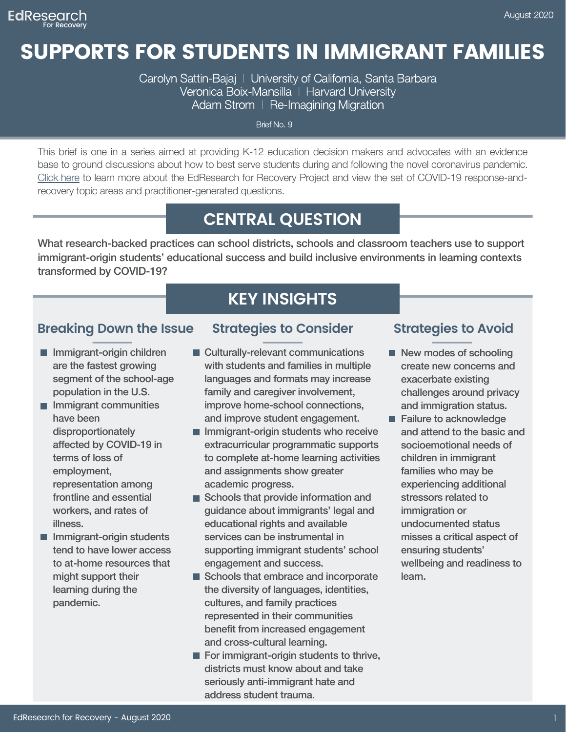# SUPPORTS FOR STUDENTS IN IMMIGRANT FAMILIES

Carolyn Sattin-Bajaj | University of California, Santa Barbara Veronica Boix-Mansilla | Harvard University Adam Strom | Re-Imagining Migration

Brief No. 9

This brief is one in a series aimed at providing K-12 education decision makers and advocates with an evidence base to ground discussions about how to best serve students during and following the novel coronavirus pandemic. [Click](https://annenberg.brown.edu/recovery) here to learn more about the EdResearch for Recovery Project and view the set of COVID-19 response-andrecovery topic areas and practitioner-generated questions.

## **CENTRAL QUESTION**

What research-backed practices can school districts, schools and classroom teachers use to support immigrant-origin students' educational success and build inclusive environments in learning contexts transformed by COVID-19?

### **KEY INSIGHTS**

#### **Breaking Down the Issue**

- **Immigrant-origin children** are the fastest growing segment of the school-age population in the U.S.
- **Immigrant communities** have been disproportionately affected by COVID-19 in terms of loss of employment, representation among frontline and essential workers, and rates of illness.
- **Immigrant-origin students** tend to have lower access to at-home resources that might support their learning during the pandemic.

#### **Strategies to Consider Strategies to Avoid**

- Culturally-relevant communications with students and families in multiple languages and formats may increase family and caregiver involvement, improve home-school connections, and improve student engagement.
- $\blacksquare$  Immigrant-origin students who receive extracurricular programmatic supports to complete at-home learning activities and assignments show greater academic progress.
- Schools that provide information and guidance about immigrants' legal and educational rights and available services can be instrumental in supporting immigrant students' school engagement and success.
- Schools that embrace and incorporate the diversity of languages, identities, cultures, and family practices represented in their communities benefit from increased engagement and cross-cultural learning.
- $\blacksquare$  For immigrant-origin students to thrive, districts must know about and take seriously anti-immigrant hate and address student trauma.

- New modes of schooling create new concerns and exacerbate existing challenges around privacy and immigration status.
- Failure to acknowledge and attend to the basic and socioemotional needs of children in immigrant families who may be experiencing additional stressors related to immigration or undocumented status misses a critical aspect of ensuring students' wellbeing and readiness to learn.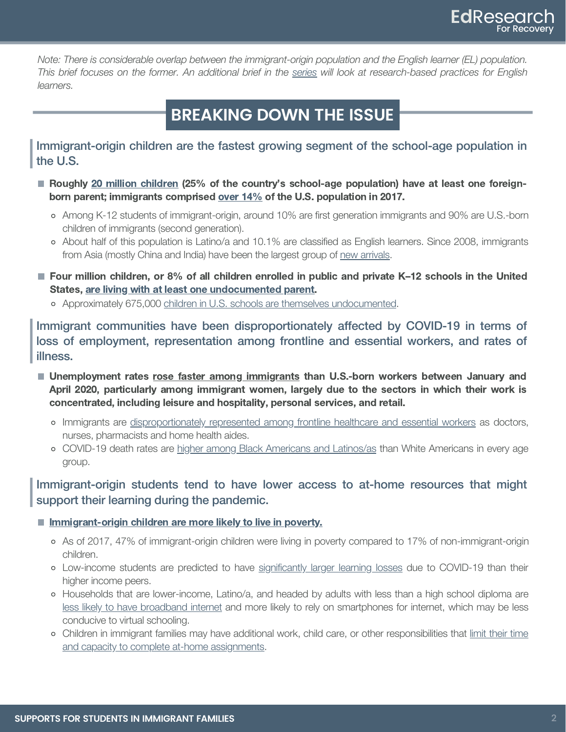Note: There is considerable overlap between the immigrant-origin population and the English learner (EL) population. This brief focuses on the former. An additional brief in the [series](https://annenberg.brown.edu/recovery) will look at research-based practices for English learners.

## **BREAKING DOWN THE ISSUE**

Immigrant-origin children are the fastest growing segment of the school-age population in the U.S.

- Roughly [20 million children](https://www.childtrends.org/indicators/immigrant-children) (25% of the country's school-age population) have at least one foreignborn parent; immigrants comprised [over 14%](https://www.pewresearch.org/fact-tank/2019/06/17/key-findings-about-u-s-immigrants/) of the U.S. population in 2017.
	- Among K-12 students of immigrant-origin, around 10% are first generation immigrants and 90% are U.S.-born children of immigrants (second generation).
	- About half of this population is Latino/a and 10.1% are classified as English learners. Since 2008, immigrants from Asia (mostly China and India) have been the largest group of [new arrivals.](https://www.pewresearch.org/fact-tank/2019/06/17/key-findings-about-u-s-immigrants/)
- Four million children, or 8% of all children enrolled in public and private K-12 schools in the United States, [are living with at least one undocumented parent.](https://www.pewresearch.org/hispanic/2018/11/27/most-unauthorized-immigrants-live-with-family-members/)
	- Approximately 675,000 [children in U.S. schools are themselves undocumented.](https://www.pewresearch.org/hispanic/2018/11/27/most-unauthorized-immigrants-live-with-family-members/)

Immigrant communities have been disproportionately affected by COVID-19 in terms of loss of employment, representation among frontline and essential workers, and rates of illness.

- **Unemployment rates [rose faster among immigrants](https://www.migrationpolicy.org/research/covid-19-unemployment-immigrants-other-us-workers) than U.S.-born workers between January and** April 2020, particularly among immigrant women, largely due to the sectors in which their work is concentrated, including leisure and hospitality, personal services, and retail.
	- o Immigrants are [disproportionately represented among frontline healthcare and essential workers](https://www.migrationpolicy.org/article/immigrant-health-care-workers-united-states-2018) as doctors, nurses, pharmacists and home health aides.
	- o COVID-19 death rates are [higher among Black Americans and Latinos/as](https://www.brookings.edu/blog/up-front/2020/06/16/race-gaps-in-covid-19-deaths-are-even-bigger-than-they-appear/) than White Americans in every age group.

Immigrant-origin students tend to have lower access to at-home resources that might support their learning during the pandemic.

#### **[Immigrant-origin children are more likely to live in poverty.](https://www.childtrends.org/indicators/immigrant-children)**

- As of 2017, 47% of immigrant-origin children were living in poverty compared to 17% of non-immigrant-origin children.
- o Low-income students are predicted to have [significantly larger learning losses](https://www.edworkingpapers.com/sites/default/files/ai20-226-v2.pdf) due to COVID-19 than their higher income peers.
- o Households that are lower-income, Latino/a, and headed by adults with less than a high school diploma are [less likely to have broadband internet](https://pewrsr.ch/34gKusw) and more likely to rely on smartphones for internet, which may be less conducive to virtual schooling.
- o Children in immigrant families may have additional work, child care, or other responsibilities that [limit their time](https://www.semanticscholar.org/paper/Academic-trajectories-of-newcomer-immigrant-youth.-Su%C3%A1rez-Orozco-Gayt%C3%A1n/aae3c7a0f8536120c93e45de16d1ded685cfdecf) [and capacity to complete at-home assignments.](https://www.semanticscholar.org/paper/Academic-trajectories-of-newcomer-immigrant-youth.-Su%C3%A1rez-Orozco-Gayt%C3%A1n/aae3c7a0f8536120c93e45de16d1ded685cfdecf)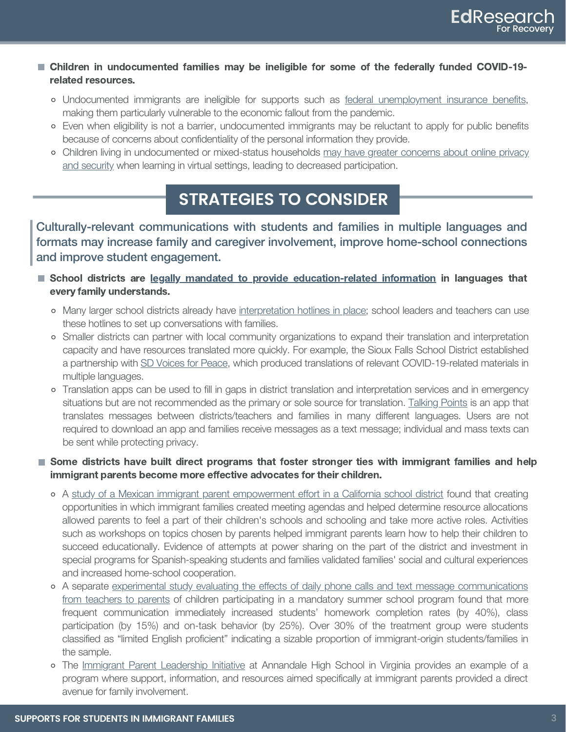- Children in undocumented families may be ineligible for some of the federally funded COVID-19 related resources.
	- Undocumented immigrants are ineligible for supports such as [federal unemployment insurance benefits,](https://www.kqed.org/news/11809657/new-covid-19-relief-benefits-leaves-out-some-undocumented-immigrants) making them particularly vulnerable to the economic fallout from the pandemic.
	- Even when eligibility is not a barrier, undocumented immigrants may be reluctant to apply for public benefits because of concerns about confidentiality of the personal information they provide.
	- Children living in undocumented or mixed-status households [may have greater concerns about online privacy](https://www.si.umich.edu/about-umsi/news/undocumented-immigrants-privacy-risk-online-phones) [and security](https://www.si.umich.edu/about-umsi/news/undocumented-immigrants-privacy-risk-online-phones) when learning in virtual settings, leading to decreased participation.

#### **STRATEGIES TO CONSIDER**

Culturally-relevant communications with students and families in multiple languages and formats may increase family and caregiver involvement, improve home-school connections and improve student engagement.

- School districts are [legally mandated to provide education-related information](https://www.colorincolorado.org/sites/default/files/dcl-factsheet-lep-parents-201501.pdf) in languages that every family understands.
	- Many larger school districts already have [interpretation hotlines in place;](https://www.philasd.org/multilingual/language-access/) school leaders and teachers can use these hotlines to set up conversations with families.
	- Smaller districts can partner with local community organizations to expand their translation and interpretation capacity and have resources translated more quickly. For example, the Sioux Falls School District established a partnership with [SD Voices for Peace,](https://sdvfpeace.org/) which produced translations of relevant COVID-19-related materials in multiple languages.
	- Translation apps can be used to fill in gaps in district translation and interpretation services and in emergency situations but are not recommended as the primary or sole source for translation. [Talking Points](https://talkingpts.org/) is an app that translates messages between districts/teachers and families in many different languages. Users are not required to download an app and families receive messages as a text message; individual and mass texts can be sent while protecting privacy.

#### Some districts have built direct programs that foster stronger ties with immigrant families and help immigrant parents become more effective advocates for their children.

- o A [study of a Mexican immigrant parent empowerment effort in a California school district](https://www.journals.uchicago.edu/doi/abs/10.1086/444003) found that creating opportunities in which immigrant families created meeting agendas and helped determine resource allocations allowed parents to feel a part of their children's schools and schooling and take more active roles. Activities such as workshops on topics chosen by parents helped immigrant parents learn how to help their children to succeed educationally. Evidence of attempts at power sharing on the part of the district and investment in special programs for Spanish-speaking students and families validated families' social and cultural experiences and increased home-school cooperation.
- o A separate [experimental study evaluating the effects of daily phone calls and text message communications](https://www.tandfonline.com/doi/full/10.1080/19345747.2012.743636?casa_token=V9MwQD5hJm4AAAAA%3AJvTD_9ysjqawinGDgBqb00onSIwyvLIzHeFLGPKwICTTlTToGMjnrWQfkFQUlSL__s7zXOsArUWM) [from teachers to parents](https://www.tandfonline.com/doi/full/10.1080/19345747.2012.743636?casa_token=V9MwQD5hJm4AAAAA%3AJvTD_9ysjqawinGDgBqb00onSIwyvLIzHeFLGPKwICTTlTToGMjnrWQfkFQUlSL__s7zXOsArUWM) of children participating in a mandatory summer school program found that more frequent communication immediately increased students' homework completion rates (by 40%), class participation (by 15%) and on-task behavior (by 25%). Over 30% of the treatment group were students classified as "limited English proficient" indicating a sizable proportion of immigrant-origin students/families in the sample.
- o The [Immigrant Parent Leadership Initiative](http://www.healthinschools.org/wp-content/uploads/2016/10/EKuglerParents.pdf) at Annandale High School in Virginia provides an example of a program where support, information, and resources aimed specifically at immigrant parents provided a direct avenue for family involvement.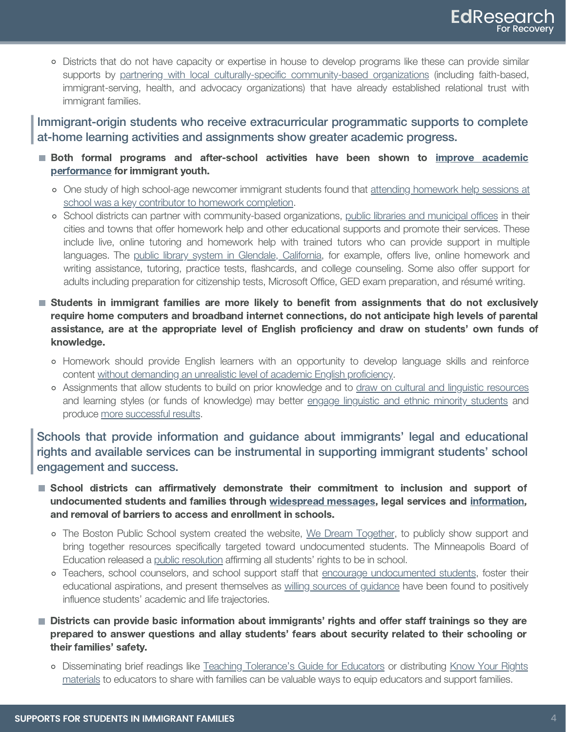Districts that do not have capacity or expertise in house to develop programs like these can provide similar supports by partnering with local culturally-specific [community-based](https://research.steinhardt.nyu.edu/scmsAdmin/media/users/ac190/IHDSC_Approaches_to_Protect_Childrens_Access_to_Health_and_Human_Services_in_an_Era_of_Harsh_Immigration_Policy.pdf) organizations (including faith-based, immigrant-serving, health, and advocacy organizations) that have already established relational trust with immigrant families.

Immigrant-origin students who receive extracurricular programmatic supports to complete at-home learning activities and assignments show greater academic progress.

- **Both formal programs and after-school activities have been shown to improve [academic](https://www.tandfonline.com/doi/abs/10.1207/s15430421tip4303_8)** [performance](https://www.tandfonline.com/doi/abs/10.1207/s15430421tip4303_8) for immigrant youth.
	- One study of high school-age newcomer immigrant students found that attending [homework](https://www.journals.uchicago.edu/doi/abs/10.1086/662008?mobileUi=0) help sessions at school was a key contributor to homework [completion.](https://www.journals.uchicago.edu/doi/abs/10.1086/662008?mobileUi=0)
	- School districts can partner with community-based organizations, public libraries and [municipal](https://www.tualatinoregon.gov/library/free-homework-labs-and-online-homework-help) offices in their cities and towns that offer homework help and other educational supports and promote their services. These include live, online tutoring and homework help with trained tutors who can provide support in multiple languages. The public library system in Glendale, [California,](https://www.glendaleca.gov/government/departments/library-arts-culture/services/homework-help-now) for example, offers live, online homework and writing assistance, tutoring, practice tests, flashcards, and college counseling. Some also offer support for adults including preparation for citizenship tests, Microsoft Office, GED exam preparation, and résumé writing.
- Students in immigrant families are more likely to benefit from assignments that do not exclusively require home computers and broadband internet connections, do not anticipate high levels of parental assistance, are at the appropriate level of English proficiency and draw on students' own funds of knowledge.
	- Homework should provide English learners with an opportunity to develop language skills and reinforce content without [demanding](https://www.hup.harvard.edu/catalog.php?isbn=9780674045804) an unrealistic level of academic English proficiency.
	- Assignments that allow students to build on prior knowledge and to draw on cultural and linguistic [resources](https://education.ucsc.edu/ellisa/pdfs/Moll_Amanti_1992_Funds_of_Knowledge.pdf) and learning styles (or funds of knowledge) may better engage linguistic and ethnic minority [students](https://www.tcpress.com/walking-the-road-9780807744338) and produce more [successful](http://lmcreadinglist.pbworks.com/f/Ladson-Billings%20%281995%29.pdf) results.

Schools that provide information and guidance about immigrants' legal and educational rights and available services can be instrumental in supporting immigrant students' school engagement and success.

- School districts can affirmatively demonstrate their commitment to inclusion and support of undocumented students and families through [widespread](https://multilingual.mpls.k12.mn.us/resources_for_immigrants.html) messages, legal services and [information,](https://protectingimmigrantfamilies.org/immigrant-eligibility-for-public-programs-during-covid-19/) and removal of barriers to access and enrollment in schools.
	- The Boston Public School system created the website, We Dream [Together,](https://bpsoell.wixsite.com/wedreamtogether) to publicly show support and bring together resources specifically targeted toward undocumented students. The Minneapolis Board of Education released a public [resolution](https://v3.boardbook.org/Public/PublicItemDownload.aspx?ik=39770800) affirming all students' rights to be in school.
	- o Teachers, school counselors, and school support staff that encourage [undocumented](https://www.ucpress.edu/book.php?isbn=9780520287266) students, foster their educational aspirations, and present themselves as willing sources of [guidance](https://www.policybriefs.org/briefs/school-based-personnel) have been found to positively influence students' academic and life trajectories.
- **Districts can provide basic information about immigrants' rights and offer staff trainings so they are** prepared to answer questions and allay students' fears about security related to their schooling or their families' safety.
	- Disseminating brief readings like Teaching [Tolerance's](https://www.tolerance.org/magazine/spring-2017/immigrant-and-refugee-children-a-guide-for-educators-and-school-support-staff) Guide for Educators or distributing Know Your [Rights](https://cliniclegal.org/resources/protecting-your-community/know-your-rights/know-your-rights-guide-your-rights-when?utm_campaign=2bcbda9072-election_Jan27&utm_medium=email&utm_source=CLINIC%20Mail&utm_term=0_a33179621a-2bcbda9072-) [materials](https://cliniclegal.org/resources/protecting-your-community/know-your-rights/know-your-rights-guide-your-rights-when?utm_campaign=2bcbda9072-election_Jan27&utm_medium=email&utm_source=CLINIC%20Mail&utm_term=0_a33179621a-2bcbda9072-) to educators to share with families can be valuable ways to equip educators and support families.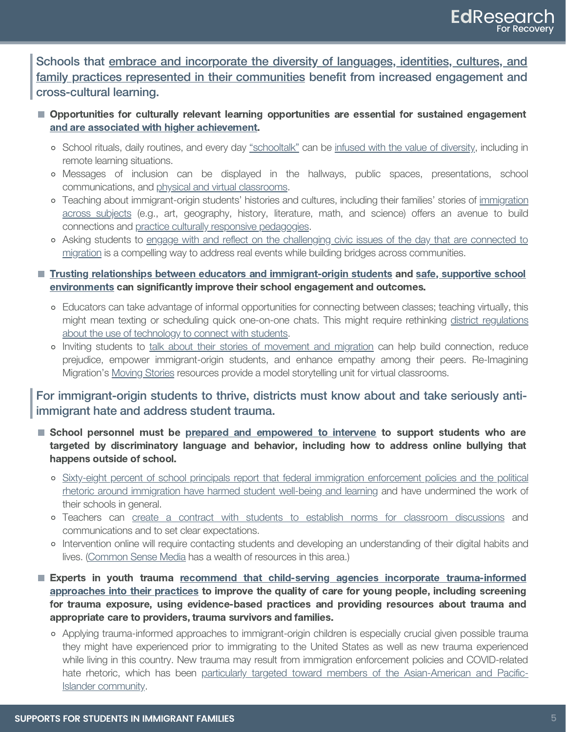Schools that [embrace and incorporate the diversity of languages, identities, cultures, and](https://soeonline.american.edu/blog/benefits-of-inclusion-and-diversity-in-the-classroom) [family practices represented in their communities](https://soeonline.american.edu/blog/benefits-of-inclusion-and-diversity-in-the-classroom) benefit from increased engagement and cross-cultural learning.

- **Opportunities for culturally relevant learning opportunities are essential for sustained engagement** [and are associated with higher achievement.](https://journals.sagepub.com/doi/full/10.3102/0002831216677002?casa_token=Luv8v9qkAccAAAAA%3AL2kewvDJxUXtJ168aQ1v6MeXltrZS0CfoO1BUWsANpVh3hxKDJAm8qFgCZfBuKGlr840QiGy0MKo)
	- o School rituals, daily routines, and every day ["schooltalk"](https://thenewpress.com/books/schooltalk) can be [infused with the value of diversity,](https://www.ncld.org/wp-content/uploads/2019/12/Guide-to-Creating-Inclusive-Schools-12.9.2019.pdf) including in remote learning situations.
	- Messages of inclusion can be displayed in the hallways, public spaces, presentations, school communications, and [physical and virtual classrooms.](https://reimaginingmigration.org/cultural-responsive-teaching-checklist/)
	- Teaching about immigrant-origin students' histories and cultures, including their families' stories of [immigration](https://reimaginingmigration.org/learning-arc/) [across subjects](https://reimaginingmigration.org/learning-arc/) (e.g., art, geography, history, literature, math, and science) offers an avenue to build connections and [practice culturally responsive pedagogies.](https://www.hepgjournals.org/doi/abs/10.17763/haer.84.1.p2rj131485484751)
	- Asking students to [engage with and reflect on the challenging civic issues of the day that are connected to](https://edsource.org/2016/bringing-controversial-issues-into-the-classroom/567439) [migration](https://edsource.org/2016/bringing-controversial-issues-into-the-classroom/567439) is a compelling way to address real events while building bridges across communities.
- **[Trusting relationships between educators and immigrant-origin students](https://research.steinhardt.nyu.edu/scmsAdmin/uploads/004/293/TCR%202009.pdf) and [safe, supportive school](https://www.sciencedirect.com/science/article/abs/pii/S0190740904001513)** [environments](https://www.sciencedirect.com/science/article/abs/pii/S0190740904001513) can significantly improve their school engagement and outcomes.
	- Educators can take advantage of informal opportunities for connecting between classes; teaching virtually, this might mean texting or scheduling quick one-on-one chats. This might require rethinking [district regulations](https://chicago.chalkbeat.org/2020/3/20/21196091/should-chicago-let-students-video-chat-with-teachers-pandemic-tests-technology-restrictions) [about the use of technology to connect with students.](https://chicago.chalkbeat.org/2020/3/20/21196091/should-chicago-let-students-video-chat-with-teachers-pandemic-tests-technology-restrictions)
	- o Inviting students to [talk about their stories of movement and migration](https://www.colorincolorado.org/article/building-bridges-through-storytelling-what-are-your-students-stories) can help build connection, reduce prejudice, empower immigrant-origin students, and enhance empathy among their peers. Re-Imagining Migration's [Moving Stories](https://sharemylesson.com/teaching-resource/moving-stories-mini-unit-exploring-stories-movement-and-migration-320935) resources provide a model storytelling unit for virtual classrooms.

For immigrant-origin students to thrive, districts must know about and take seriously antiimmigrant hate and address student trauma.

- School personnel must be [prepared and empowered to intervene](https://www.scholastic.com/teachers/articles/teaching-content/cyberbullying-what-teachers-and-schools-can-do/) to support students who are targeted by discriminatory language and behavior, including how to address online bullying that happens outside of school.
	- [Sixty-eight percent of school principals report that federal immigration enforcement policies and the political](https://idea.gseis.ucla.edu/publications/school-and-society-in-age-of-trump/) [rhetoric around immigration have harmed student well-being and learning](https://idea.gseis.ucla.edu/publications/school-and-society-in-age-of-trump/) and have undermined the work of their schools in general.
	- Teachers can [create a contract with students to establish norms for classroom discussions](https://www.tolerance.org/sites/default/files/general/TT%20Difficult%20Conversations%20web.pdf) and communications and to set clear expectations.
	- Intervention online will require contacting students and developing an understanding of their digital habits and lives. [\(Common Sense Media](https://www.commonsense.org/education/) has a wealth of resources in this area.)
- **Experts in youth trauma [recommend that child-serving agencies incorporate trauma-informed](https://psycnet.apa.org/record/2008-10899-003)** [approaches into their practices](https://psycnet.apa.org/record/2008-10899-003) to improve the quality of care for young people, including screening for trauma exposure, using evidence-based practices and providing resources about trauma and appropriate care to providers, trauma survivors and families.
	- Applying trauma-informed approaches to immigrant-origin children is especially crucial given possible trauma they might have experienced prior to immigrating to the United States as well as new trauma experienced while living in this country. New trauma may result from immigration enforcement policies and COVID-related hate rhetoric, which has been [particularly targeted toward members of the Asian-American and Pacific-](https://www.adl.org/blog/reports-of-anti-asian-assaults-harassment-and-hate-crimes-rise-as-coronavirus-spreads)[Islander community.](https://www.adl.org/blog/reports-of-anti-asian-assaults-harassment-and-hate-crimes-rise-as-coronavirus-spreads)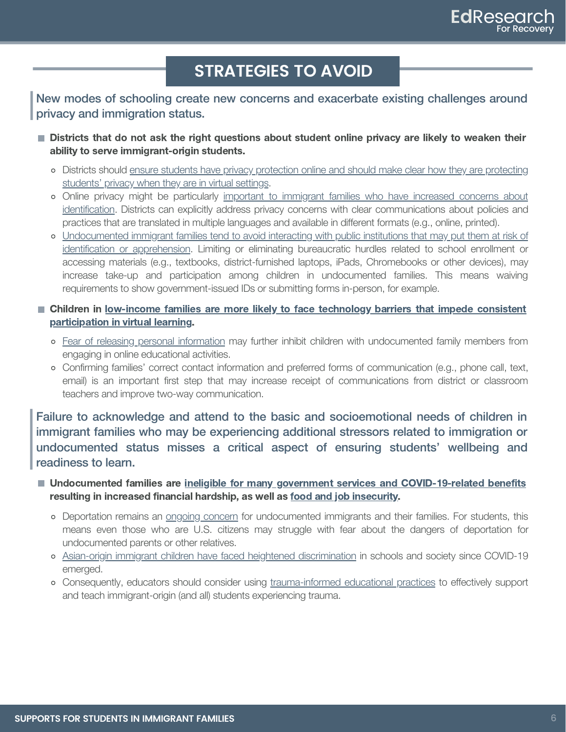## **STRATEGIES TO AVOID**

New modes of schooling create new concerns and exacerbate existing challenges around privacy and immigration status.

- **Districts that do not ask the right questions about student online privacy are likely to weaken their** ability to serve immigrant-origin students.
	- Districts should ensure students have privacy protection online and should make clear how they are [protecting](https://www.colorincolorado.org/sites/default/files/basic/SML-StudentPrivacyResources.pdf) [students'](https://www.colorincolorado.org/sites/default/files/basic/SML-StudentPrivacyResources.pdf) privacy when they are in virtual settings.
	- Online privacy might be particularly important to [immigrant](https://www.si.umich.edu/about-umsi/news/undocumented-immigrants-privacy-risk-online-phones) families who have increased concerns about [identification.](https://www.si.umich.edu/about-umsi/news/undocumented-immigrants-privacy-risk-online-phones) Districts can explicitly address privacy concerns with clear communications about policies and practices that are translated in multiple languages and available in different formats (e.g., online, printed).
	- [Undocumented](https://www.urban.org/research/publication/adults-immigrant-families-report-avoiding-routine-activities-because-immigration-concerns) immigrant families tend to avoid interacting with public institutions that may put them at risk of identification or [apprehension.](https://www.urban.org/research/publication/adults-immigrant-families-report-avoiding-routine-activities-because-immigration-concerns) Limiting or eliminating bureaucratic hurdles related to school enrollment or accessing materials (e.g., textbooks, district-furnished laptops, iPads, Chromebooks or other devices), may increase take-up and participation among children in undocumented families. This means waiving requirements to show government-issued IDs or submitting forms in-person, for example.
- **E** Children in [low-income](https://www.pewresearch.org/internet/2020/04/30/53-of-americans-say-the-internet-has-been-essential-during-the-covid-19-outbreak/) families are more likely to face technology barriers that impede consistent [participation](https://www.pewresearch.org/internet/2020/04/30/53-of-americans-say-the-internet-has-been-essential-during-the-covid-19-outbreak/) in virtual learning.
	- o Fear of releasing personal [information](https://nepc.colorado.edu/publication/newsletter-covid-privacy-040920) may further inhibit children with undocumented family members from engaging in online educational activities.
	- Confirming families' correct contact information and preferred forms of communication (e.g., phone call, text, email) is an important first step that may increase receipt of communications from district or classroom teachers and improve two-way communication.

Failure to acknowledge and attend to the basic and socioemotional needs of children in immigrant families who may be experiencing additional stressors related to immigration or undocumented status misses a critical aspect of ensuring students' wellbeing and readiness to learn.

- Undocumented families are ineligible for many government services and [COVID-19-related](https://protectingimmigrantfamilies.org/wp-content/uploads/2020/04/FAQ-COVID19-Relief-Legislation-and-Immigrants-2020-04-27.pdf) benefits resulting in increased financial hardship, as well as food and job [insecurity.](https://www.brookings.edu/blog/up-front/2020/05/06/the-covid-19-crisis-has-already-left-too-many-children-hungry-in-america/)
	- o Deportation remains an ongoing [concern](https://www.amnestyusa.org/wp-content/uploads/2020/05/Explainer-on-Deportations-and-Expulsions-During-the-COVID-19-Pandemic-1.pdf) for undocumented immigrants and their families. For students, this means even those who are U.S. citizens may struggle with fear about the dangers of deportation for undocumented parents or other relatives.
	- Asian-origin immigrant children have faced heightened [discrimination](https://asamnews.com/2020/04/01/california-representative-judy-chu-says-attacks-on-asian-americans-are-at-100-per-day-due-to-racism-surrounding-coronavirus-fears/) in schools and society since COVID-19 emerged.
	- Consequently, educators should consider using [trauma-informed](https://journals.sagepub.com/doi/full/10.1177/0031721717696476?casa_token=_yEwyUlZ8lQAAAAA%3AosEd8Y8mos7CsxIOKPrb4ERdpj9WjnvWt-I7YwU_jthStmVONNi3qc5lhn1raANgvSiUdt6_sxwV) educational practices to effectively support and teach immigrant-origin (and all) students experiencing trauma.